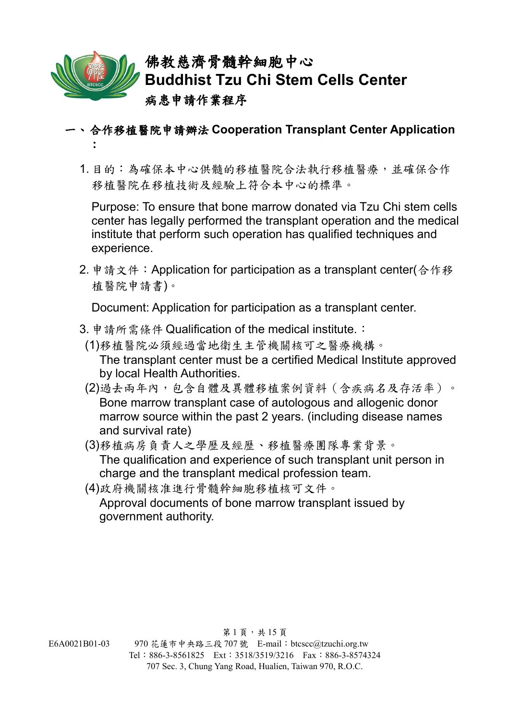

- 一、合作移植醫院申請辦法 **Cooperation Transplant Center Application**  :
	- 1. 目的:為確保本中心供髓的移植醫院合法執行移植醫療,並確保合作 移植醫院在移植技術及經驗上符合本中心的標準。

Purpose: To ensure that bone marrow donated via Tzu Chi stem cells center has legally performed the transplant operation and the medical institute that perform such operation has qualified techniques and experience.

2. 申請文件:Application for participation as a transplant center(合作移 植醫院申請書)。

Document: Application for participation as a transplant center.

- 3. 申請所需條件 Qualification of the medical institute.:
	- (1)移植醫院必須經過當地衛生主管機關核可之醫療機構。 The transplant center must be a certified Medical Institute approved by local Health Authorities.
	- (2)過去兩年內,包含自體及異體移植案例資料(含疾病名及存活率)。 Bone marrow transplant case of autologous and allogenic donor marrow source within the past 2 years. (including disease names and survival rate)
	- (3)移植病房負責人之學歷及經歷、移植醫療團隊專業背景。 The qualification and experience of such transplant unit person in charge and the transplant medical profession team.
	- (4)政府機關核准進行骨髓幹細胞移植核可文件。 Approval documents of bone marrow transplant issued by government authority.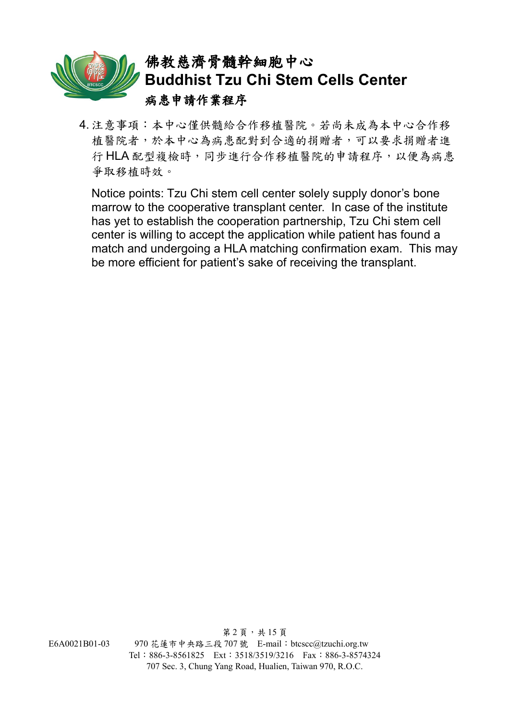

4. 注意事項:本中心僅供髓給合作移植醫院。若尚未成為本中心合作移 植醫院者,於本中心為病患配對到合適的捐贈者,可以要求捐贈者進 行 HLA 配型複檢時,同步進行合作移植醫院的申請程序,以便為病患 爭取移植時效。

Notice points: Tzu Chi stem cell center solely supply donor's bone marrow to the cooperative transplant center. In case of the institute has yet to establish the cooperation partnership, Tzu Chi stem cell center is willing to accept the application while patient has found a match and undergoing a HLA matching confirmation exam. This may be more efficient for patient's sake of receiving the transplant.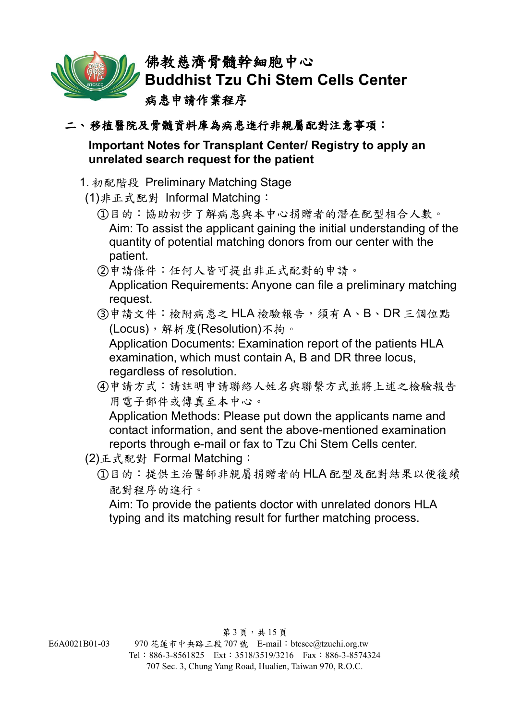

#### 二、移植醫院及骨髓資料庫為病患進行非親屬配對注意事項:

#### **Important Notes for Transplant Center/ Registry to apply an unrelated search request for the patient**

#### 1. 初配階段 Preliminary Matching Stage

- (1)非正式配對 Informal Matching:
	- ①目的:協助初步了解病患與本中心捐贈者的潛在配型相合人數。 Aim: To assist the applicant gaining the initial understanding of the quantity of potential matching donors from our center with the patient.
	- ②申請條件:任何人皆可提出非正式配對的申請。

Application Requirements: Anyone can file a preliminary matching request.

③申請文件:檢附病患之 HLA 檢驗報告,須有 A、B、DR 三個位點 (Locus),解析度(Resolution)不拘。

Application Documents: Examination report of the patients HLA examination, which must contain A, B and DR three locus, regardless of resolution.

④申請方式:請註明申請聯絡人姓名與聯繫方式並將上述之檢驗報告 用電子郵件或傳真至本中心。

Application Methods: Please put down the applicants name and contact information, and sent the above-mentioned examination reports through e-mail or fax to Tzu Chi Stem Cells center.

- (2)正式配對 Formal Matching:
	- ①目的:提供主治醫師非親屬捐贈者的 HLA 配型及配對結果以便後續 配對程序的進行。

Aim: To provide the patients doctor with unrelated donors HLA typing and its matching result for further matching process.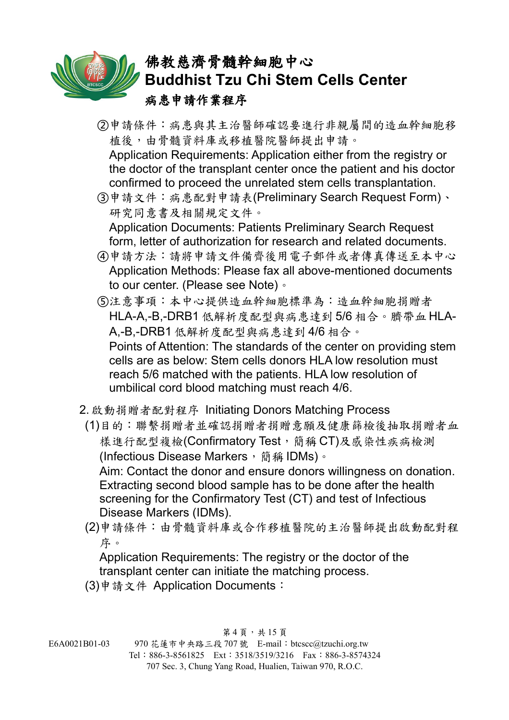②申請條件:病患與其主治醫師確認要進行非親屬間的造血幹細胞移 植後,由骨髓資料庫或移植醫院醫師提出申請。

Application Requirements: Application either from the registry or the doctor of the transplant center once the patient and his doctor confirmed to proceed the unrelated stem cells transplantation.

③申請文件:病患配對申請表(Preliminary Search Request Form)、 研究同意書及相關規定文件。

Application Documents: Patients Preliminary Search Request form, letter of authorization for research and related documents.

④申請方法:請將申請文件備齊後用電子郵件或者傳真傳送至本中心 Application Methods: Please fax all above-mentioned documents to our center. (Please see Note)。

⑤注意事項:本中心提供造血幹細胞標準為:造血幹細胞捐贈者 HLA-A,-B,-DRB1 低解析度配型與病患達到 5/6 相合。臍帶血 HLA-A,-B,-DRB1 低解析度配型與病患達到 4/6 相合。 Points of Attention: The standards of the center on providing stem cells are as below: Stem cells donors HLA low resolution must reach 5/6 matched with the patients. HLA low resolution of umbilical cord blood matching must reach 4/6.

- 2. 啟動捐贈者配對程序 Initiating Donors Matching Process
- (1)目的:聯繫捐贈者並確認捐贈者捐贈意願及健康篩檢後抽取捐贈者血 樣進行配型複檢(Confirmatory Test,簡稱 CT)及感染性疾病檢測 (Infectious Disease Markers, 簡稱 IDMs)。 Aim: Contact the donor and ensure donors willingness on donation. Extracting second blood sample has to be done after the health screening for the Confirmatory Test (CT) and test of Infectious Disease Markers (IDMs).
- (2)申請條件:由骨髓資料庫或合作移植醫院的主治醫師提出啟動配對程 序。

Application Requirements: The registry or the doctor of the transplant center can initiate the matching process.

(3)申請文件 Application Documents: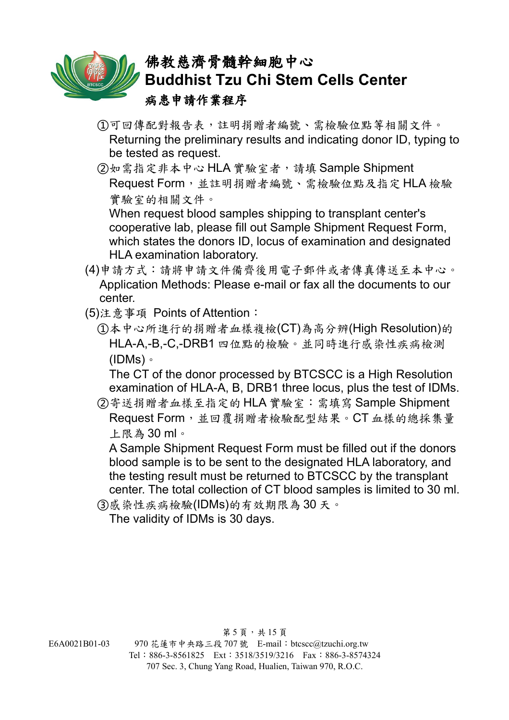

- ①可回傳配對報告表,註明捐贈者編號、需檢驗位點等相關文件。 Returning the preliminary results and indicating donor ID, typing to be tested as request.
- ②如需指定非本中心 HLA 實驗室者,請填 Sample Shipment Request Form,並註明捐贈者編號、需檢驗位點及指定 HLA 檢驗 實驗室的相關文件。

When request blood samples shipping to transplant center's cooperative lab, please fill out Sample Shipment Request Form, which states the donors ID, locus of examination and designated HLA examination laboratory.

- (4)申請方式:請將申請文件備齊後用電子郵件或者傳真傳送至本中心。 Application Methods: Please e-mail or fax all the documents to our center.
- (5)注意事項 Points of Attention:
	- ①本中心所進行的捐贈者血樣複檢(CT)為高分辨(High Resolution)的 HLA-A,-B,-C,-DRB1 四位點的檢驗。並同時進行感染性疾病檢測 (IDMs)。

The CT of the donor processed by BTCSCC is a High Resolution examination of HLA-A, B, DRB1 three locus, plus the test of IDMs.

②寄送捐贈者血樣至指定的 HLA 實驗室:需填寫 Sample Shipment Request Form,並回覆捐贈者檢驗配型結果。CT 血樣的總採集量 上限為 30 ml。

A Sample Shipment Request Form must be filled out if the donors blood sample is to be sent to the designated HLA laboratory, and the testing result must be returned to BTCSCC by the transplant center. The total collection of CT blood samples is limited to 30 ml.

③感染性疾病檢驗(IDMs)的有效期限為 30 天。

The validity of IDMs is 30 days.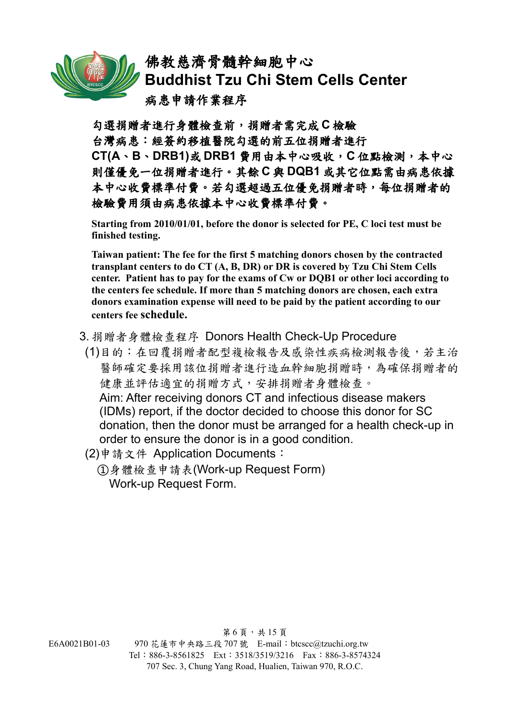

勾選捐贈者進行身體檢查前,捐贈者需完成 **C** 檢驗 台灣病患:經簽約移植醫院勾選的前五位捐贈者進行 **CT(A**、**B**、**DRB1)**或 **DRB1** 費用由本中心吸收,**C** 位點檢測,本中心 則僅優免一位捐贈者進行。其餘 **C** 與 **DQB1** 或其它位點需由病患依據 本中心收費標準付費。若勾選超過五位優免捐贈者時,每位捐贈者的 檢驗費用須由病患依據本中心收費標準付費。

**Starting from 2010/01/01, before the donor is selected for PE, C loci test must be finished testing.**

**Taiwan patient: The fee for the first 5 matching donors chosen by the contracted transplant centers to do CT (A, B, DR) or DR is covered by Tzu Chi Stem Cells center. Patient has to pay for the exams of Cw or DQB1 or other loci according to the centers fee schedule. If more than 5 matching donors are chosen, each extra donors examination expense will need to be paid by the patient according to our centers fee schedule.**

- 3. 捐贈者身體檢查程序 Donors Health Check-Up Procedure
- (1)目的:在回覆捐贈者配型複檢報告及感染性疾病檢測報告後,若主治 醫師確定要採用該位捐贈者進行造血幹細胞捐贈時,為確保捐贈者的 健康並評估適宜的捐贈方式,安排捐贈者身體檢查。 Aim: After receiving donors CT and infectious disease makers (IDMs) report, if the doctor decided to choose this donor for SC donation, then the donor must be arranged for a health check-up in order to ensure the donor is in a good condition.
- (2)申請文件 Application Documents:
	- ①身體檢查申請表(Work-up Request Form) Work-up Request Form.

第6頁,共 $15$ 頁 E6A0021B01-03 970 花蓮市中央路三段 707 號 E-mail:btcscc@tzuchi.org.tw Tel:886-3-8561825 Ext:3518/3519/3216 Fax:886-3-8574324 707 Sec. 3, Chung Yang Road, Hualien, Taiwan 970, R.O.C.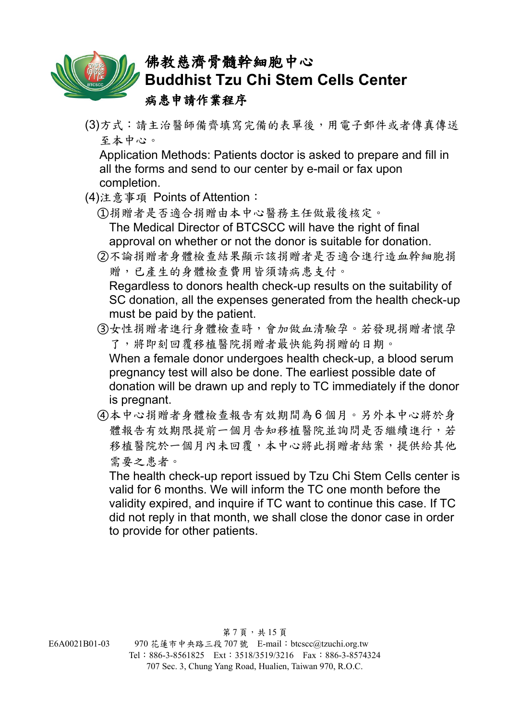

(3)方式:請主治醫師備齊填寫完備的表單後,用電子郵件或者傳真傳送 至本中心。

Application Methods: Patients doctor is asked to prepare and fill in all the forms and send to our center by e-mail or fax upon completion.

- (4)注意事項 Points of Attention:
	- ①捐贈者是否適合捐贈由本中心醫務主任做最後核定。 The Medical Director of BTCSCC will have the right of final approval on whether or not the donor is suitable for donation.
	- ②不論捐贈者身體檢查結果顯示該捐贈者是否適合進行造血幹細胞捐 贈,已產生的身體檢查費用皆須請病患支付。

Regardless to donors health check-up results on the suitability of SC donation, all the expenses generated from the health check-up must be paid by the patient.

- ③女性捐贈者進行身體檢查時,會加做血清驗孕。若發現捐贈者懷孕 了,將即刻回覆移植醫院捐贈者最快能夠捐贈的日期。 When a female donor undergoes health check-up, a blood serum pregnancy test will also be done. The earliest possible date of donation will be drawn up and reply to TC immediately if the donor is pregnant.
- ④本中心捐贈者身體檢查報告有效期間為 6 個月。另外本中心將於身 體報告有效期限提前一個月告知移植醫院並詢問是否繼續進行,若 移植醫院於一個月內未回覆,本中心將此捐贈者結案,提供給其他 需要之患者。

The health check-up report issued by Tzu Chi Stem Cells center is valid for 6 months. We will inform the TC one month before the validity expired, and inquire if TC want to continue this case. If TC did not reply in that month, we shall close the donor case in order to provide for other patients.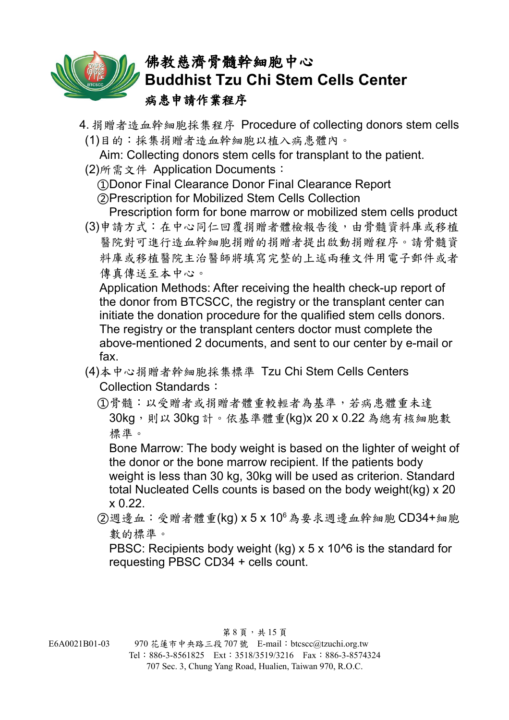

4. 捐贈者造血幹細胞採集程序 Procedure of collecting donors stem cells (1)目的:採集捐贈者造血幹細胞以植入病患體內。

Aim: Collecting donors stem cells for transplant to the patient.

(2)所需文件 Application Documents:

①Donor Final Clearance Donor Final Clearance Report

②Prescription for Mobilized Stem Cells Collection

Prescription form for bone marrow or mobilized stem cells product (3)申請方式:在中心同仁回覆捐贈者體檢報告後,由骨髓資料庫或移植 醫院對可進行造血幹細胞捐贈的捐贈者提出啟動捐贈程序。請骨髓資 料庫或移植醫院主治醫師將填寫完整的上述兩種文件用電子郵件或者 傳真傳送至本中心。

Application Methods: After receiving the health check-up report of the donor from BTCSCC, the registry or the transplant center can initiate the donation procedure for the qualified stem cells donors. The registry or the transplant centers doctor must complete the above-mentioned 2 documents, and sent to our center by e-mail or fax.

- (4)本中心捐贈者幹細胞採集標準 Tzu Chi Stem Cells Centers Collection Standards:
	- ①骨髓:以受贈者或捐贈者體重較輕者為基準,若病患體重未達 30kg,則以 30kg 計。依基準體重(kg)x 20 x 0.22 為總有核細胞數 標準。

Bone Marrow: The body weight is based on the lighter of weight of the donor or the bone marrow recipient. If the patients body weight is less than 30 kg, 30kg will be used as criterion. Standard total Nucleated Cells counts is based on the body weight(kg) x 20 x 0.22.

②週邊血:受贈者體重(kg) x 5 x 10<sup>6</sup>為要求週邊血幹細胞 CD34+細胞 數的標準。

PBSC: Recipients body weight (kg) x 5 x 10^6 is the standard for requesting PBSC CD34 + cells count.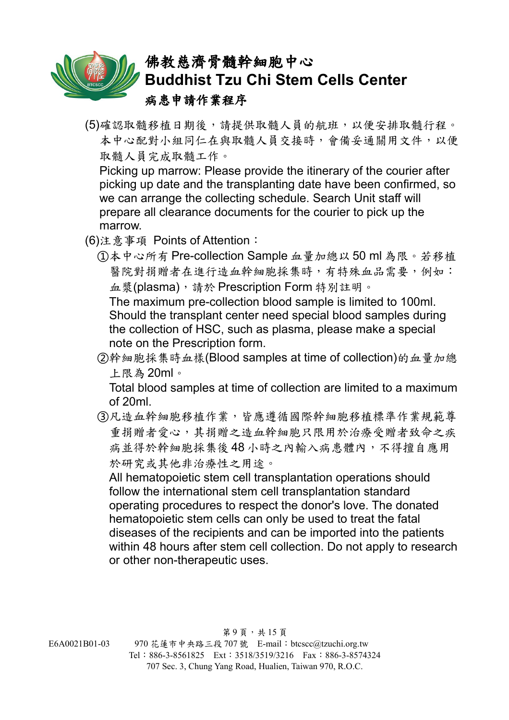(5)確認取髓移植日期後,請提供取髓人員的航班,以便安排取髓行程。 本中心配對小組同仁在與取髓人員交接時,會備妥通關用文件,以便 取髓人員完成取髓工作。

Picking up marrow: Please provide the itinerary of the courier after picking up date and the transplanting date have been confirmed, so we can arrange the collecting schedule. Search Unit staff will prepare all clearance documents for the courier to pick up the marrow.

- (6)注意事項 Points of Attention:
	- ①本中心所有 Pre-collection Sample 血量加總以 50 ml 為限。若移植 醫院對捐贈者在進行造血幹細胞採集時,有特殊血品需要,例如: 血漿(plasma),請於 Prescription Form 特別註明。

The maximum pre-collection blood sample is limited to 100ml. Should the transplant center need special blood samples during the collection of HSC, such as plasma, please make a special note on the Prescription form.

②幹細胞採集時血樣(Blood samples at time of collection)的血量加總 上限為 20ml。

Total blood samples at time of collection are limited to a maximum of 20ml.

③凡造血幹細胞移植作業,皆應遵循國際幹細胞移植標準作業規範尊 重捐贈者愛心,其捐贈之造血幹細胞只限用於治療受贈者致命之疾 病並得於幹細胞採集後48小時之內輸入病患體內,不得擅自應用 於研究或其他非治療性之用途。

All hematopoietic stem cell transplantation operations should follow the international stem cell transplantation standard operating procedures to respect the donor's love. The donated hematopoietic stem cells can only be used to treat the fatal diseases of the recipients and can be imported into the patients within 48 hours after stem cell collection. Do not apply to research or other non-therapeutic uses.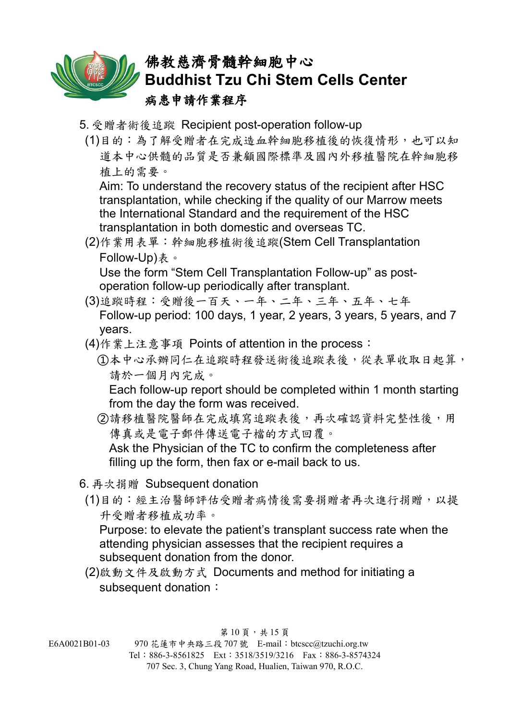

- 5. 受贈者術後追蹤 Recipient post-operation follow-up
	- (1)目的:為了解受贈者在完成造血幹細胞移植後的恢復情形,也可以知 道本中心供髓的品質是否兼顧國際標準及國內外移植醫院在幹細胞移 植上的需要。

Aim: To understand the recovery status of the recipient after HSC transplantation, while checking if the quality of our Marrow meets the International Standard and the requirement of the HSC transplantation in both domestic and overseas TC.

(2)作業用表單:幹細胞移植術後追蹤(Stem Cell Transplantation Follow-Up)表。

Use the form "Stem Cell Transplantation Follow-up" as postoperation follow-up periodically after transplant.

- (3)追蹤時程:受贈後一百天、一年、二年、三年、五年、七年 Follow-up period: 100 days, 1 year, 2 years, 3 years, 5 years, and 7 years.
- (4)作業上注意事項 Points of attention in the process:
	- ①本中心承辦同仁在追蹤時程發送術後追蹤表後,從表單收取日起算, 請於一個月內完成。

Each follow-up report should be completed within 1 month starting from the day the form was received.

(2)請移植醫院醫師在完成填寫追蹤表後,再次確認資料完整性後,用 傳真或是電子郵件傳送電子檔的方式回覆。

Ask the Physician of the TC to confirm the completeness after filling up the form, then fax or e-mail back to us.

- 6. 再次捐贈 Subsequent donation
	- (1)目的:經主治醫師評估受贈者病情後需要捐贈者再次進行捐贈,以提 升受贈者移植成功率。

Purpose: to elevate the patient's transplant success rate when the attending physician assesses that the recipient requires a subsequent donation from the donor.

(2)啟動文件及啟動方式 Documents and method for initiating a subsequent donation: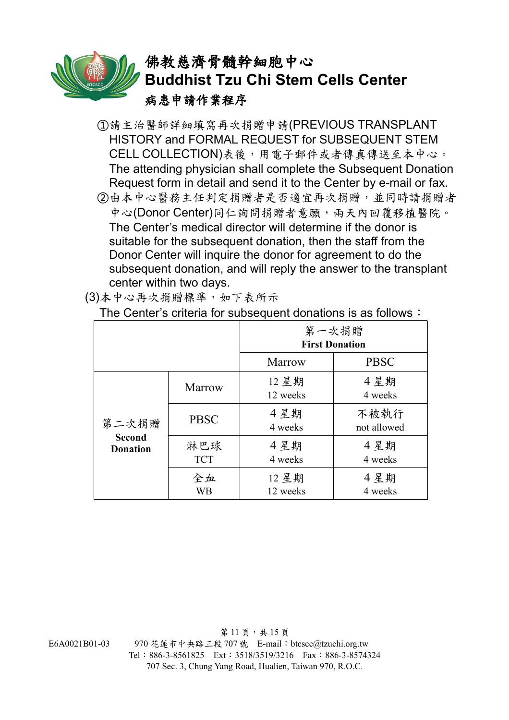

- ①請主治醫師詳細填寫再次捐贈申請(PREVIOUS TRANSPLANT HISTORY and FORMAL REQUEST for SUBSEQUENT STEM CELL COLLECTION)表後,用電子郵件或者傳真傳送至本中心。 The attending physician shall complete the Subsequent Donation Request form in detail and send it to the Center by e-mail or fax.
- ②由本中心醫務主任判定捐贈者是否適宜再次捐贈,並同時請捐贈者 中心(Donor Center)同仁詢問捐贈者意願,兩天內回覆移植醫院。 The Center's medical director will determine if the donor is suitable for the subsequent donation, then the staff from the Donor Center will inquire the donor for agreement to do the subsequent donation, and will reply the answer to the transplant center within two days.

| The Genter's chitena for subsequent domations is as follows $\cdot$ |                   |                                |                     |
|---------------------------------------------------------------------|-------------------|--------------------------------|---------------------|
|                                                                     |                   | 第一次捐贈<br><b>First Donation</b> |                     |
|                                                                     |                   | <b>Marrow</b>                  | <b>PBSC</b>         |
| 第二次捐贈<br><b>Second</b><br><b>Donation</b>                           | Marrow            | 12 星期<br>12 weeks              | 4星期<br>4 weeks      |
|                                                                     | <b>PBSC</b>       | 4星期<br>4 weeks                 | 不被執行<br>not allowed |
|                                                                     | 淋巴球<br><b>TCT</b> | 4星期<br>4 weeks                 | 4星期<br>4 weeks      |
|                                                                     | 全血<br>WB          | 12 星期<br>12 weeks              | 4星期<br>4 weeks      |

(3)本中心再次捐贈標準,如下表所示

The Center's criteria for subsequent donations is as follows:

第11頁,共15頁 E6A0021B01-03 970 花蓮市中央路三段 707 號 E-mail:btcscc@tzuchi.org.tw Tel:886-3-8561825 Ext:3518/3519/3216 Fax:886-3-8574324 707 Sec. 3, Chung Yang Road, Hualien, Taiwan 970, R.O.C.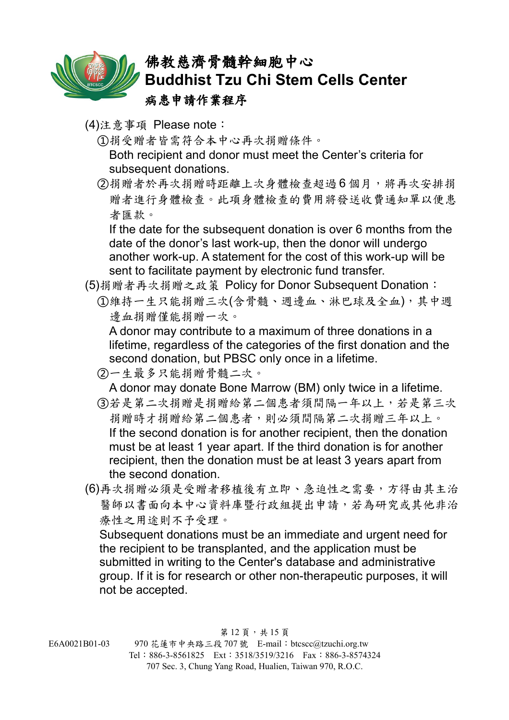

- (4)注意事項 Please note:
	- ①捐受贈者皆需符合本中心再次捐贈條件。 Both recipient and donor must meet the Center's criteria for subsequent donations.
	- ②捐贈者於再次捐贈時距離上次身體檢查超過 6 個月,將再次安排捐 贈者進行身體檢查。此項身體檢查的費用將發送收費通知單以便患 者匯款。

If the date for the subsequent donation is over 6 months from the date of the donor's last work-up, then the donor will undergo another work-up. A statement for the cost of this work-up will be sent to facilitate payment by electronic fund transfer.

- (5)捐贈者再次捐贈之政策 Policy for Donor Subsequent Donation:
	- ①維持一生只能捐贈三次(含骨髓、週邊血、淋巴球及全血),其中週 邊血捐贈僅能捐贈一次。

A donor may contribute to a maximum of three donations in a lifetime, regardless of the categories of the first donation and the second donation, but PBSC only once in a lifetime.

②一生最多只能捐贈骨髓二次。

A donor may donate Bone Marrow (BM) only twice in a lifetime.

- ③若是第二次捐贈是捐贈給第二個患者須間隔一年以上,若是第三次 捐贈時才捐贈給第二個患者,則必須間隔第二次捐贈三年以上。 If the second donation is for another recipient, then the donation must be at least 1 year apart. If the third donation is for another recipient, then the donation must be at least 3 years apart from the second donation.
- (6)再次捐贈必須是受贈者移植後有立即、急迫性之需要,方得由其主治 醫師以書面向本中心資料庫暨行政組提出申請,若為研究或其他非治 療性之用途則不予受理。

Subsequent donations must be an immediate and urgent need for the recipient to be transplanted, and the application must be submitted in writing to the Center's database and administrative group. If it is for research or other non-therapeutic purposes, it will not be accepted.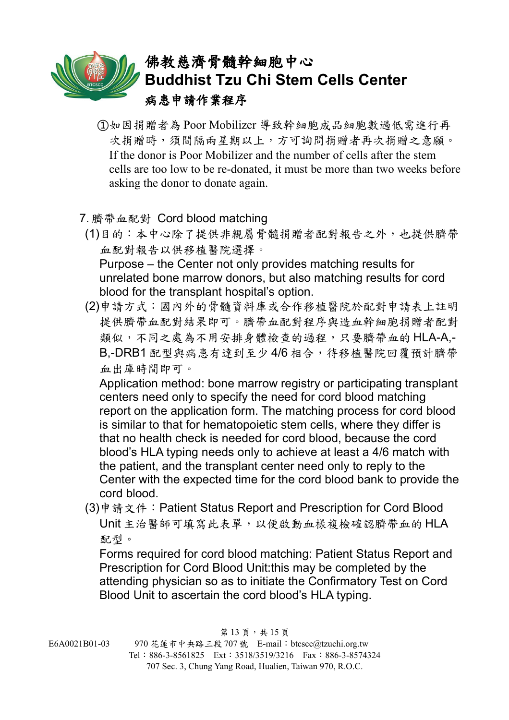- ①如因捐贈者為 Poor Mobilizer 導致幹細胞成品細胞數過低需進行再 次捐贈時,須間隔兩星期以上,方可詢問捐贈者再次捐贈之意願。 If the donor is Poor Mobilizer and the number of cells after the stem cells are too low to be re-donated, it must be more than two weeks before asking the donor to donate again.
- 7. 臍帶血配對 Cord blood matching
- (1)目的:本中心除了提供非親屬骨髓捐贈者配對報告之外,也提供臍帶 血配對報告以供移植醫院選擇。 Purpose – the Center not only provides matching results for unrelated bone marrow donors, but also matching results for cord blood for the transplant hospital's option.
- (2)申請方式:國內外的骨髓資料庫或合作移植醫院於配對申請表上註明 提供臍帶血配對結果即可。臍帶血配對程序與造血幹細胞捐贈者配對 類似,不同之處為不用安排身體檢查的過程,只要臍帶血的 HLA-A,-B,-DRB1 配型與病患有達到至少 4/6 相合, 待移植醫院回覆預計臍帶 血出庫時間即可。

Application method: bone marrow registry or participating transplant centers need only to specify the need for cord blood matching report on the application form. The matching process for cord blood is similar to that for hematopoietic stem cells, where they differ is that no health check is needed for cord blood, because the cord blood's HLA typing needs only to achieve at least a 4/6 match with the patient, and the transplant center need only to reply to the Center with the expected time for the cord blood bank to provide the cord blood.

(3)申請文件:Patient Status Report and Prescription for Cord Blood Unit 主治醫師可填寫此表單,以便啟動血樣複檢確認臍帶血的 HLA 配型。

Forms required for cord blood matching: Patient Status Report and Prescription for Cord Blood Unit:this may be completed by the attending physician so as to initiate the Confirmatory Test on Cord Blood Unit to ascertain the cord blood's HLA typing.

707 Sec. 3, Chung Yang Road, Hualien, Taiwan 970, R.O.C.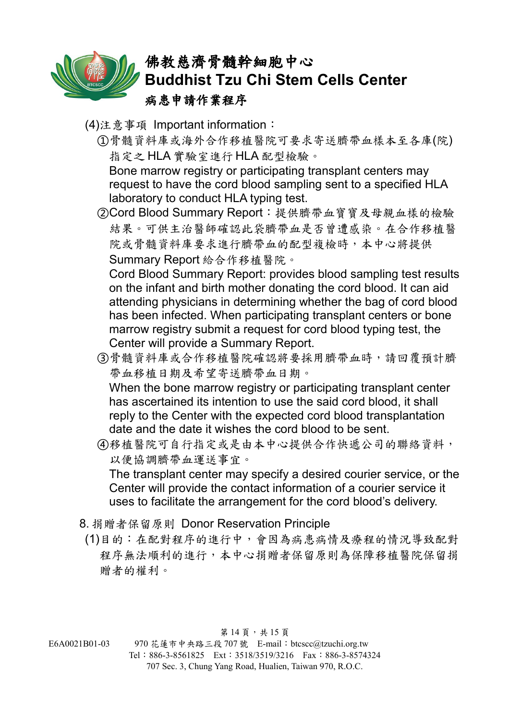

- (4)注意事項 Important information:
	- ①骨髓資料庫或海外合作移植醫院可要求寄送臍帶血樣本至各庫(院) 指定之 HLA 實驗室進行 HLA 配型檢驗。

Bone marrow registry or participating transplant centers may request to have the cord blood sampling sent to a specified HLA laboratory to conduct HLA typing test.

②Cord Blood Summary Report:提供臍帶血寶寶及母親血樣的檢驗 結果。可供主治醫師確認此袋臍帶血是否曾遭感染。在合作移植醫 院或骨髓資料庫要求進行臍帶血的配型複檢時,本中心將提供 Summary Report 給合作移植醫院。

Cord Blood Summary Report: provides blood sampling test results on the infant and birth mother donating the cord blood. It can aid attending physicians in determining whether the bag of cord blood has been infected. When participating transplant centers or bone marrow registry submit a request for cord blood typing test, the Center will provide a Summary Report.

③骨髓資料庫或合作移植醫院確認將要採用臍帶血時,請回覆預計臍 帶血移植日期及希望寄送臍帶血日期。 When the bone marrow registry or participating transplant center

has ascertained its intention to use the said cord blood, it shall reply to the Center with the expected cord blood transplantation date and the date it wishes the cord blood to be sent.

④移植醫院可自行指定或是由本中心提供合作快遞公司的聯絡資料, 以便協調臍帶血運送事宜。

The transplant center may specify a desired courier service, or the Center will provide the contact information of a courier service it uses to facilitate the arrangement for the cord blood's delivery.

- 8. 捐贈者保留原則 Donor Reservation Principle
- (1)目的:在配對程序的進行中,會因為病患病情及療程的情況導致配對 程序無法順利的進行,本中心捐贈者保留原則為保障移植醫院保留捐 贈者的權利。

第14頁,共15頁

E6A0021B01-03 970 花蓮市中央路三段 707 號 E-mail:btcscc@tzuchi.org.tw Tel:886-3-8561825 Ext:3518/3519/3216 Fax:886-3-8574324 707 Sec. 3, Chung Yang Road, Hualien, Taiwan 970, R.O.C.